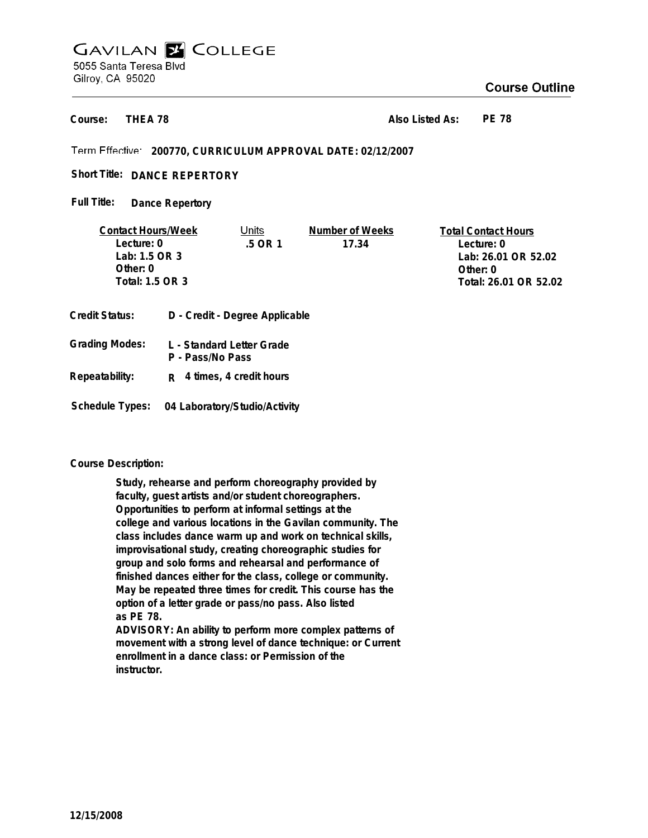# **GAVILAN E COLLEGE** 5055 Santa Teresa Blvd Gilroy, CA 95020

# **Course Outline**

**THEA 78 Course:**

**Also Listed As: PE 78**

**200770, CURRICULUM APPROVAL DATE: 02/12/2007**

Short Title: DANCE REPERTORY

**Dance Repertory Full Title:**

| <b>Contact Hours/Week</b> |  | Jnits                          | Number of Weeks | <b>Total Contact Hours</b> |
|---------------------------|--|--------------------------------|-----------------|----------------------------|
| Lecture: 0                |  | $.5$ OR 1                      | 17.34           | Lecture: 0                 |
| Lab: 1.5 OR 3             |  |                                |                 | Lab: 26.01 OR 52.02        |
| Other: $0$                |  |                                |                 | Other: $0$                 |
| Total: 1.5 OR 3           |  |                                |                 | Total: 26.01 OR 52.02      |
|                           |  |                                |                 |                            |
| Credit Status:            |  | D - Credit - Degree Applicable |                 |                            |

| <b>Grading Modes:</b> | L - Standard Letter Grade<br>P - Pass/No Pass |  |
|-----------------------|-----------------------------------------------|--|
| Repeatability:        | $R$ 4 times, 4 credit hours                   |  |

**Schedule Types: 04 Laboratory/Studio/Activity**

## **Course Description:**

**Study, rehearse and perform choreography provided by faculty, guest artists and/or student choreographers. Opportunities to perform at informal settings at the college and various locations in the Gavilan community. The class includes dance warm up and work on technical skills, improvisational study, creating choreographic studies for group and solo forms and rehearsal and performance of finished dances either for the class, college or community. May be repeated three times for credit. This course has the option of a letter grade or pass/no pass. Also listed as PE 78.**

**ADVISORY: An ability to perform more complex patterns of movement with a strong level of dance technique: or Current enrollment in a dance class: or Permission of the instructor.**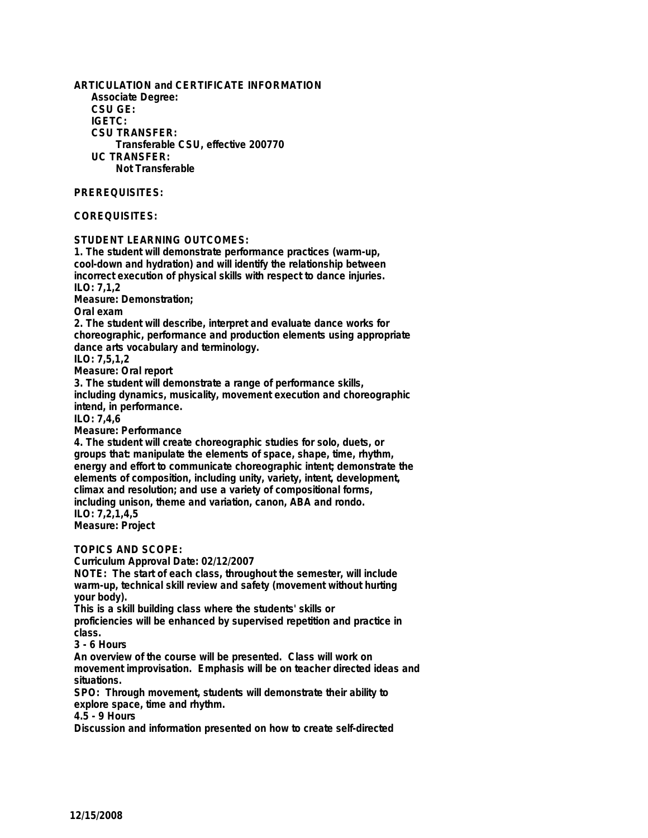**ARTICULATION and CERTIFICATE INFORMATION Associate Degree: CSU GE: IGETC: CSU TRANSFER: Transferable CSU, effective 200770 UC TRANSFER: Not Transferable PREREQUISITES:**

#### **COREQUISITES:**

**STUDENT LEARNING OUTCOMES:**

**1. The student will demonstrate performance practices (warm-up, cool-down and hydration) and will identify the relationship between incorrect execution of physical skills with respect to dance injuries. ILO: 7,1,2 Measure: Demonstration; Oral exam 2. The student will describe, interpret and evaluate dance works for choreographic, performance and production elements using appropriate dance arts vocabulary and terminology. ILO: 7,5,1,2 Measure: Oral report 3. The student will demonstrate a range of performance skills, including dynamics, musicality, movement execution and choreographic intend, in performance. ILO: 7,4,6 Measure: Performance 4. The student will create choreographic studies for solo, duets, or groups that: manipulate the elements of space, shape, time, rhythm,**

**energy and effort to communicate choreographic intent; demonstrate the elements of composition, including unity, variety, intent, development, climax and resolution; and use a variety of compositional forms, including unison, theme and variation, canon, ABA and rondo.**

**ILO: 7,2,1,4,5 Measure: Project**

**TOPICS AND SCOPE:**

**Curriculum Approval Date: 02/12/2007**

**NOTE: The start of each class, throughout the semester, will include warm-up, technical skill review and safety (movement without hurting your body).**

**This is a skill building class where the students' skills or proficiencies will be enhanced by supervised repetition and practice in class.**

**3 - 6 Hours**

**An overview of the course will be presented. Class will work on movement improvisation. Emphasis will be on teacher directed ideas and situations.**

**SPO: Through movement, students will demonstrate their ability to explore space, time and rhythm.**

**4.5 - 9 Hours**

**Discussion and information presented on how to create self-directed**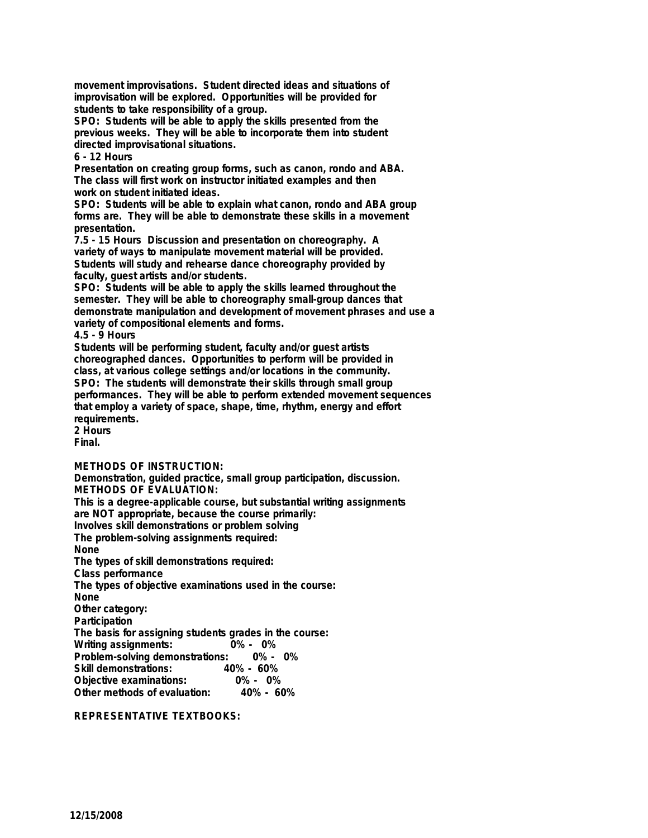**movement improvisations. Student directed ideas and situations of improvisation will be explored. Opportunities will be provided for students to take responsibility of a group.**

**SPO: Students will be able to apply the skills presented from the previous weeks. They will be able to incorporate them into student directed improvisational situations.**

## **6 - 12 Hours**

**Presentation on creating group forms, such as canon, rondo and ABA. The class will first work on instructor initiated examples and then work on student initiated ideas.**

**SPO: Students will be able to explain what canon, rondo and ABA group forms are. They will be able to demonstrate these skills in a movement presentation.**

**7.5 - 15 Hours Discussion and presentation on choreography. A variety of ways to manipulate movement material will be provided. Students will study and rehearse dance choreography provided by faculty, guest artists and/or students.**

**SPO: Students will be able to apply the skills learned throughout the semester. They will be able to choreography small-group dances that demonstrate manipulation and development of movement phrases and use a variety of compositional elements and forms.**

## **4.5 - 9 Hours**

**Students will be performing student, faculty and/or guest artists choreographed dances. Opportunities to perform will be provided in class, at various college settings and/or locations in the community. SPO: The students will demonstrate their skills through small group performances. They will be able to perform extended movement sequences that employ a variety of space, shape, time, rhythm, energy and effort requirements.**

**2 Hours Final.**

**METHODS OF INSTRUCTION:**

**Demonstration, guided practice, small group participation, discussion. METHODS OF EVALUATION: This is a degree-applicable course, but substantial writing assignments are NOT appropriate, because the course primarily: Involves skill demonstrations or problem solving The problem-solving assignments required:**

**None**

**The types of skill demonstrations required:**

**Class performance**

**The types of objective examinations used in the course:**

**None**

**Other category:**

**Participation**

**The basis for assigning students grades in the course: Writing assignments: Problem-solving demonstrations: 0% - 0%**

**Skill demonstrations: 40% - 60%**

**Objective examinations: 0% - 0% Other methods of evaluation:** 

**REPRESENTATIVE TEXTBOOKS:**